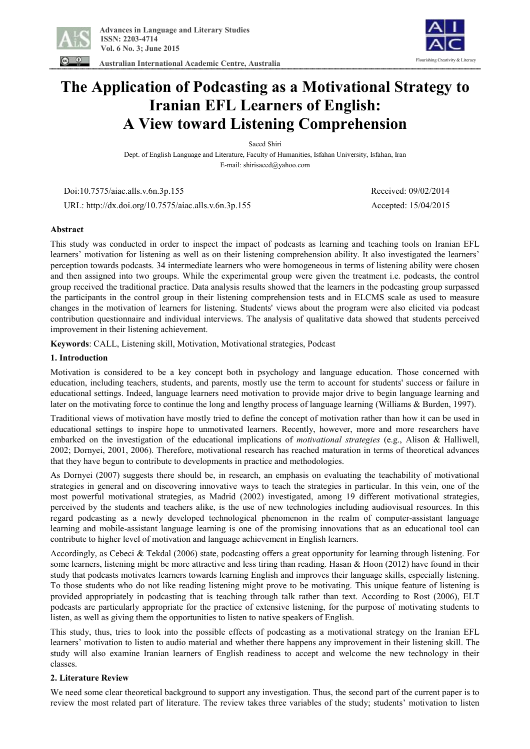

 **Australian International Academic Centre, Australia** 



# **The Application of Podcasting as a Motivational Strategy to Iranian EFL Learners of English: A View toward Listening Comprehension**

Saeed Shiri

Dept. of English Language and Literature, Faculty of Humanities, Isfahan University, Isfahan, Iran E-mail: shirisaeed@yahoo.com

 Doi:10.7575/aiac.alls.v.6n.3p.155 Received: 09/02/2014 URL: http://dx.doi.org/10.7575/aiac.alls.v.6n.3p.155 Accepted: 15/04/2015

# **Abstract**

This study was conducted in order to inspect the impact of podcasts as learning and teaching tools on Iranian EFL learners' motivation for listening as well as on their listening comprehension ability. It also investigated the learners' perception towards podcasts. 34 intermediate learners who were homogeneous in terms of listening ability were chosen and then assigned into two groups. While the experimental group were given the treatment i.e. podcasts, the control group received the traditional practice. Data analysis results showed that the learners in the podcasting group surpassed the participants in the control group in their listening comprehension tests and in ELCMS scale as used to measure changes in the motivation of learners for listening. Students' views about the program were also elicited via podcast contribution questionnaire and individual interviews. The analysis of qualitative data showed that students perceived improvement in their listening achievement.

**Keywords**: CALL, Listening skill, Motivation, Motivational strategies, Podcast

## **1. Introduction**

Motivation is considered to be a key concept both in psychology and language education. Those concerned with education, including teachers, students, and parents, mostly use the term to account for students' success or failure in educational settings. Indeed, language learners need motivation to provide major drive to begin language learning and later on the motivating force to continue the long and lengthy process of language learning (Williams & Burden, 1997).

Traditional views of motivation have mostly tried to define the concept of motivation rather than how it can be used in educational settings to inspire hope to unmotivated learners. Recently, however, more and more researchers have embarked on the investigation of the educational implications of *motivational strategies* (e.g., Alison & Halliwell, 2002; Dornyei, 2001, 2006). Therefore, motivational research has reached maturation in terms of theoretical advances that they have begun to contribute to developments in practice and methodologies.

As Dornyei (2007) suggests there should be, in research, an emphasis on evaluating the teachability of motivational strategies in general and on discovering innovative ways to teach the strategies in particular. In this vein, one of the most powerful motivational strategies, as Madrid (2002) investigated, among 19 different motivational strategies, perceived by the students and teachers alike, is the use of new technologies including audiovisual resources. In this regard podcasting as a newly developed technological phenomenon in the realm of computer-assistant language learning and mobile-assistant language learning is one of the promising innovations that as an educational tool can contribute to higher level of motivation and language achievement in English learners.

Accordingly, as Cebeci & Tekdal (2006) state, podcasting offers a great opportunity for learning through listening. For some learners, listening might be more attractive and less tiring than reading. Hasan & Hoon (2012) have found in their study that podcasts motivates learners towards learning English and improves their language skills, especially listening. To those students who do not like reading listening might prove to be motivating. This unique feature of listening is provided appropriately in podcasting that is teaching through talk rather than text. According to Rost (2006), ELT podcasts are particularly appropriate for the practice of extensive listening, for the purpose of motivating students to listen, as well as giving them the opportunities to listen to native speakers of English.

This study, thus, tries to look into the possible effects of podcasting as a motivational strategy on the Iranian EFL learners' motivation to listen to audio material and whether there happens any improvement in their listening skill. The study will also examine Iranian learners of English readiness to accept and welcome the new technology in their classes.

## **2. Literature Review**

We need some clear theoretical background to support any investigation. Thus, the second part of the current paper is to review the most related part of literature. The review takes three variables of the study; students' motivation to listen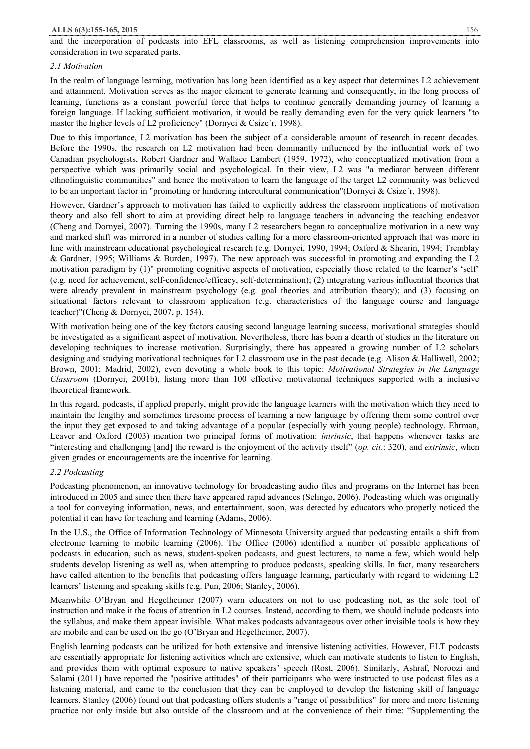and the incorporation of podcasts into EFL classrooms, as well as listening comprehension improvements into consideration in two separated parts.

#### *2.1 Motivation*

In the realm of language learning, motivation has long been identified as a key aspect that determines L2 achievement and attainment. Motivation serves as the major element to generate learning and consequently, in the long process of learning, functions as a constant powerful force that helps to continue generally demanding journey of learning a foreign language. If lacking sufficient motivation, it would be really demanding even for the very quick learners "to master the higher levels of L2 proficiency" (Dornyei & Csize´r, 1998).

Due to this importance, L2 motivation has been the subject of a considerable amount of research in recent decades. Before the 1990s, the research on L2 motivation had been dominantly influenced by the influential work of two Canadian psychologists, Robert Gardner and Wallace Lambert (1959, 1972), who conceptualized motivation from a perspective which was primarily social and psychological. In their view, L2 was "a mediator between different ethnolinguistic communities" and hence the motivation to learn the language of the target L2 community was believed to be an important factor in "promoting or hindering intercultural communication"(Dornyei & Csize´r, 1998).

However, Gardner's approach to motivation has failed to explicitly address the classroom implications of motivation theory and also fell short to aim at providing direct help to language teachers in advancing the teaching endeavor (Cheng and Dornyei, 2007). Turning the 1990s, many L2 researchers began to conceptualize motivation in a new way and marked shift was mirrored in a number of studies calling for a more classroom-oriented approach that was more in line with mainstream educational psychological research (e.g. Dornyei, 1990, 1994; Oxford & Shearin, 1994; Tremblay & Gardner, 1995; Williams & Burden, 1997). The new approach was successful in promoting and expanding the L2 motivation paradigm by (1)" promoting cognitive aspects of motivation, especially those related to the learner's 'self' (e.g. need for achievement, self-confidence/efficacy, self-determination); (2) integrating various influential theories that were already prevalent in mainstream psychology (e.g. goal theories and attribution theory); and (3) focusing on situational factors relevant to classroom application (e.g. characteristics of the language course and language teacher)"(Cheng & Dornyei, 2007, p. 154).

With motivation being one of the key factors causing second language learning success, motivational strategies should be investigated as a significant aspect of motivation. Nevertheless, there has been a dearth of studies in the literature on developing techniques to increase motivation. Surprisingly, there has appeared a growing number of L2 scholars designing and studying motivational techniques for L2 classroom use in the past decade (e.g. Alison & Halliwell, 2002; Brown, 2001; Madrid, 2002), even devoting a whole book to this topic: *Motivational Strategies in the Language Classroom* (Dornyei, 2001b), listing more than 100 effective motivational techniques supported with a inclusive theoretical framework.

In this regard, podcasts, if applied properly, might provide the language learners with the motivation which they need to maintain the lengthy and sometimes tiresome process of learning a new language by offering them some control over the input they get exposed to and taking advantage of a popular (especially with young people) technology. Ehrman, Leaver and Oxford (2003) mention two principal forms of motivation: *intrinsic*, that happens whenever tasks are "interesting and challenging [and] the reward is the enjoyment of the activity itself" (*op. cit*.: 320), and *extrinsic*, when given grades or encouragements are the incentive for learning.

## *2.2 Podcasting*

Podcasting phenomenon, an innovative technology for broadcasting audio files and programs on the Internet has been introduced in 2005 and since then there have appeared rapid advances (Selingo, 2006). Podcasting which was originally a tool for conveying information, news, and entertainment, soon, was detected by educators who properly noticed the potential it can have for teaching and learning (Adams, 2006).

In the U.S., the Office of Information Technology of Minnesota University argued that podcasting entails a shift from electronic learning to mobile learning (2006). The Office (2006) identified a number of possible applications of podcasts in education, such as news, student-spoken podcasts, and guest lecturers, to name a few, which would help students develop listening as well as, when attempting to produce podcasts, speaking skills. In fact, many researchers have called attention to the benefits that podcasting offers language learning, particularly with regard to widening L2 learners' listening and speaking skills (e.g. Pun, 2006; Stanley, 2006).

Meanwhile O'Bryan and Hegelheimer (2007) warn educators on not to use podcasting not, as the sole tool of instruction and make it the focus of attention in L2 courses. Instead, according to them, we should include podcasts into the syllabus, and make them appear invisible. What makes podcasts advantageous over other invisible tools is how they are mobile and can be used on the go (O'Bryan and Hegelheimer, 2007).

English learning podcasts can be utilized for both extensive and intensive listening activities. However, ELT podcasts are essentially appropriate for listening activities which are extensive, which can motivate students to listen to English, and provides them with optimal exposure to native speakers' speech (Rost, 2006). Similarly, Ashraf, Noroozi and Salami (2011) have reported the "positive attitudes" of their participants who were instructed to use podcast files as a listening material, and came to the conclusion that they can be employed to develop the listening skill of language learners. Stanley (2006) found out that podcasting offers students a "range of possibilities" for more and more listening practice not only inside but also outside of the classroom and at the convenience of their time: "Supplementing the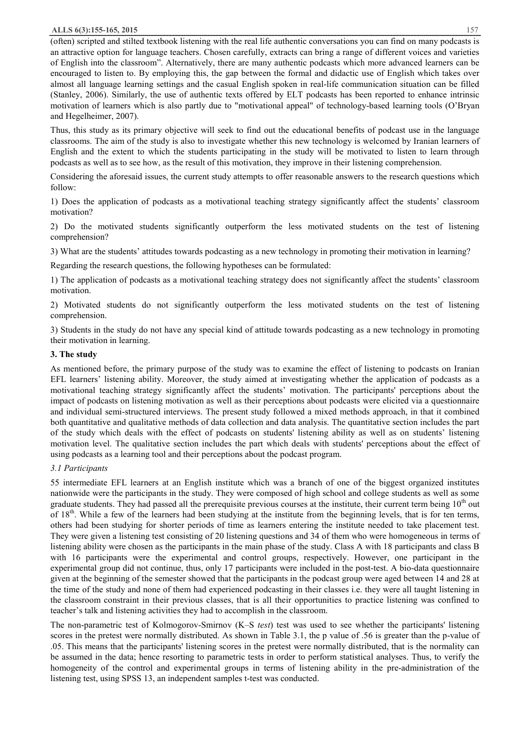(often) scripted and stilted textbook listening with the real life authentic conversations you can find on many podcasts is an attractive option for language teachers. Chosen carefully, extracts can bring a range of different voices and varieties of English into the classroom". Alternatively, there are many authentic podcasts which more advanced learners can be encouraged to listen to. By employing this, the gap between the formal and didactic use of English which takes over almost all language learning settings and the casual English spoken in real-life communication situation can be filled (Stanley, 2006). Similarly, the use of authentic texts offered by ELT podcasts has been reported to enhance intrinsic motivation of learners which is also partly due to "motivational appeal" of technology-based learning tools (O'Bryan and Hegelheimer, 2007).

Thus, this study as its primary objective will seek to find out the educational benefits of podcast use in the language classrooms. The aim of the study is also to investigate whether this new technology is welcomed by Iranian learners of English and the extent to which the students participating in the study will be motivated to listen to learn through podcasts as well as to see how, as the result of this motivation, they improve in their listening comprehension.

Considering the aforesaid issues, the current study attempts to offer reasonable answers to the research questions which follow:

1) Does the application of podcasts as a motivational teaching strategy significantly affect the students' classroom motivation?

2) Do the motivated students significantly outperform the less motivated students on the test of listening comprehension?

3) What are the students' attitudes towards podcasting as a new technology in promoting their motivation in learning?

Regarding the research questions, the following hypotheses can be formulated:

1) The application of podcasts as a motivational teaching strategy does not significantly affect the students' classroom motivation.

2) Motivated students do not significantly outperform the less motivated students on the test of listening comprehension.

3) Students in the study do not have any special kind of attitude towards podcasting as a new technology in promoting their motivation in learning.

## **3. The study**

As mentioned before, the primary purpose of the study was to examine the effect of listening to podcasts on Iranian EFL learners' listening ability. Moreover, the study aimed at investigating whether the application of podcasts as a motivational teaching strategy significantly affect the students' motivation. The participants' perceptions about the impact of podcasts on listening motivation as well as their perceptions about podcasts were elicited via a questionnaire and individual semi-structured interviews. The present study followed a mixed methods approach, in that it combined both quantitative and qualitative methods of data collection and data analysis. The quantitative section includes the part of the study which deals with the effect of podcasts on students' listening ability as well as on students' listening motivation level. The qualitative section includes the part which deals with students' perceptions about the effect of using podcasts as a learning tool and their perceptions about the podcast program.

# *3.1 Participants*

55 intermediate EFL learners at an English institute which was a branch of one of the biggest organized institutes nationwide were the participants in the study. They were composed of high school and college students as well as some graduate students. They had passed all the prerequisite previous courses at the institute, their current term being  $10<sup>th</sup>$  out of 18<sup>th</sup>. While a few of the learners had been studying at the institute from the beginning levels, that is for ten terms, others had been studying for shorter periods of time as learners entering the institute needed to take placement test. They were given a listening test consisting of 20 listening questions and 34 of them who were homogeneous in terms of listening ability were chosen as the participants in the main phase of the study. Class A with 18 participants and class B with 16 participants were the experimental and control groups, respectively. However, one participant in the experimental group did not continue, thus, only 17 participants were included in the post-test. A bio-data questionnaire given at the beginning of the semester showed that the participants in the podcast group were aged between 14 and 28 at the time of the study and none of them had experienced podcasting in their classes i.e. they were all taught listening in the classroom constraint in their previous classes, that is all their opportunities to practice listening was confined to teacher's talk and listening activities they had to accomplish in the classroom.

The non-parametric test of Kolmogorov-Smirnov (K–S *test*) test was used to see whether the participants' listening scores in the pretest were normally distributed. As shown in Table 3.1, the p value of .56 is greater than the p-value of .05. This means that the participants' listening scores in the pretest were normally distributed, that is the normality can be assumed in the data; hence resorting to parametric tests in order to perform statistical analyses. Thus, to verify the homogeneity of the control and experimental groups in terms of listening ability in the pre-administration of the listening test, using SPSS 13, an independent samples t-test was conducted.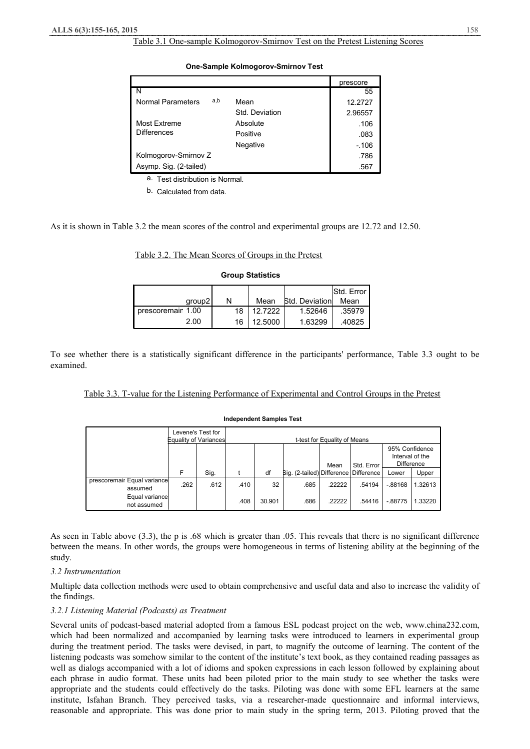#### Table 3.1 One-sample Kolmogorov-Smirnov Test on the Pretest Listening Scores

|                          |                | prescore |
|--------------------------|----------------|----------|
| N                        |                | 55       |
| a,b<br>Normal Parameters | Mean           | 12.2727  |
|                          | Std. Deviation | 2.96557  |
| Most Extreme             | Absolute       | .106     |
| <b>Differences</b>       | Positive       | .083     |
|                          | Negative       | $-.106$  |
| Kolmogorov-Smirnov Z     |                | .786     |
| Asymp. Sig. (2-tailed)   |                | .567     |

#### **One-Sample Kolmogorov-Smirnov Test**

a. Test distribution is Normal.

b. Calculated from data.

As it is shown in Table 3.2 the mean scores of the control and experimental groups are 12.72 and 12.50.

## Table 3.2. The Mean Scores of Groups in the Pretest

|  | <b>Group Statistics</b> |  |
|--|-------------------------|--|
|  |                         |  |

|                   |    |         |                        | <b>Std. Error I</b> |
|-------------------|----|---------|------------------------|---------------------|
| aroup21           | N  | Mean    | <b>Std. Deviationl</b> | Mean                |
| prescoremair 1.00 | 18 | 127222  | 1.52646                | .35979              |
| 2.00              | 16 | 12.5000 | 1.63299                | .40825              |

To see whether there is a statistically significant difference in the participants' performance, Table 3.3 ought to be examined.

|--|

#### **Independent Samples Test**

|                                        |      | Levene's Test for<br>Equality of Variances |      |        |                                       | t-test for Equality of Means |            |                                                 |         |
|----------------------------------------|------|--------------------------------------------|------|--------|---------------------------------------|------------------------------|------------|-------------------------------------------------|---------|
|                                        |      |                                            |      |        |                                       | Mean                         | Std. Error | 95% Confidence<br>Interval of the<br>Difference |         |
|                                        | F    | Sig.                                       |      | df     | Big. (2-tailed) Difference Difference |                              |            | Lower                                           | Upper   |
| prescoremair Equal variance<br>assumed | .262 | .612                                       | .410 | 32     | .685                                  | .22222                       | .54194     | $-0.88168$                                      | 1.32613 |
| Equal variance<br>not assumed          |      |                                            | .408 | 30.901 | .686                                  | .22222                       | .54416     | $-0.88775$                                      | .33220  |

As seen in Table above (3.3), the p is .68 which is greater than .05. This reveals that there is no significant difference between the means. In other words, the groups were homogeneous in terms of listening ability at the beginning of the study.

# *3.2 Instrumentation*

Multiple data collection methods were used to obtain comprehensive and useful data and also to increase the validity of the findings.

# *3.2.1 Listening Material (Podcasts) as Treatment*

Several units of podcast-based material adopted from a famous ESL podcast project on the web, www.china232.com, which had been normalized and accompanied by learning tasks were introduced to learners in experimental group during the treatment period. The tasks were devised, in part, to magnify the outcome of learning. The content of the listening podcasts was somehow similar to the content of the institute's text book, as they contained reading passages as well as dialogs accompanied with a lot of idioms and spoken expressions in each lesson followed by explaining about each phrase in audio format. These units had been piloted prior to the main study to see whether the tasks were appropriate and the students could effectively do the tasks. Piloting was done with some EFL learners at the same institute, Isfahan Branch. They perceived tasks, via a researcher-made questionnaire and informal interviews, reasonable and appropriate. This was done prior to main study in the spring term, 2013. Piloting proved that the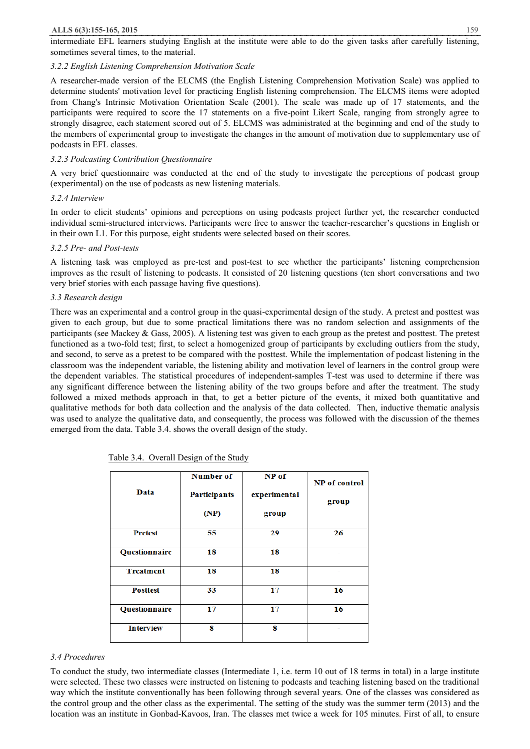intermediate EFL learners studying English at the institute were able to do the given tasks after carefully listening, sometimes several times, to the material.

## *3.2.2 English Listening Comprehension Motivation Scale*

A researcher-made version of the ELCMS (the English Listening Comprehension Motivation Scale) was applied to determine students' motivation level for practicing English listening comprehension. The ELCMS items were adopted from Chang's Intrinsic Motivation Orientation Scale (2001). The scale was made up of 17 statements, and the participants were required to score the 17 statements on a five-point Likert Scale, ranging from strongly agree to strongly disagree, each statement scored out of 5. ELCMS was administrated at the beginning and end of the study to the members of experimental group to investigate the changes in the amount of motivation due to supplementary use of podcasts in EFL classes.

## *3.2.3 Podcasting Contribution Questionnaire*

A very brief questionnaire was conducted at the end of the study to investigate the perceptions of podcast group (experimental) on the use of podcasts as new listening materials.

## *3.2.4 Interview*

In order to elicit students' opinions and perceptions on using podcasts project further yet, the researcher conducted individual semi-structured interviews. Participants were free to answer the teacher-researcher's questions in English or in their own L1. For this purpose, eight students were selected based on their scores.

## *3.2.5 Pre- and Post-tests*

A listening task was employed as pre-test and post-test to see whether the participants' listening comprehension improves as the result of listening to podcasts. It consisted of 20 listening questions (ten short conversations and two very brief stories with each passage having five questions).

## *3.3 Research design*

There was an experimental and a control group in the quasi-experimental design of the study. A pretest and posttest was given to each group, but due to some practical limitations there was no random selection and assignments of the participants (see Mackey & Gass, 2005). A listening test was given to each group as the pretest and posttest. The pretest functioned as a two-fold test; first, to select a homogenized group of participants by excluding outliers from the study, and second, to serve as a pretest to be compared with the posttest. While the implementation of podcast listening in the classroom was the independent variable, the listening ability and motivation level of learners in the control group were the dependent variables. The statistical procedures of independent-samples T-test was used to determine if there was any significant difference between the listening ability of the two groups before and after the treatment. The study followed a mixed methods approach in that, to get a better picture of the events, it mixed both quantitative and qualitative methods for both data collection and the analysis of the data collected. Then, inductive thematic analysis was used to analyze the qualitative data, and consequently, the process was followed with the discussion of the themes emerged from the data. Table 3.4. shows the overall design of the study.

| Data                 | Number of<br><b>Participants</b><br>(NP) | NP of<br>experimental<br>group | NP of control<br>group |
|----------------------|------------------------------------------|--------------------------------|------------------------|
| <b>Pretest</b>       | 55                                       | 29                             | 26                     |
| Questionnaire        | 18                                       | 18                             |                        |
| <b>Treatment</b>     | 18                                       | 18                             |                        |
| <b>Posttest</b>      | 33                                       | 17                             | 16                     |
| <b>Questionnaire</b> | 17                                       | 17                             | 16                     |
| <b>Interview</b>     | 8                                        | 8                              |                        |

| Table 3.4. Overall Design of the Study |
|----------------------------------------|
|----------------------------------------|

# *3.4 Procedures*

To conduct the study, two intermediate classes (Intermediate 1, i.e. term 10 out of 18 terms in total) in a large institute were selected. These two classes were instructed on listening to podcasts and teaching listening based on the traditional way which the institute conventionally has been following through several years. One of the classes was considered as the control group and the other class as the experimental. The setting of the study was the summer term (2013) and the location was an institute in Gonbad-Kavoos, Iran. The classes met twice a week for 105 minutes. First of all, to ensure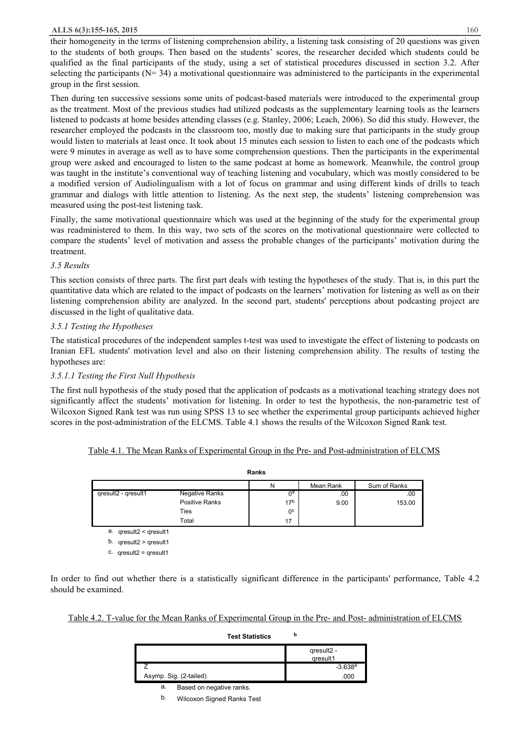their homogeneity in the terms of listening comprehension ability, a listening task consisting of 20 questions was given to the students of both groups. Then based on the students' scores, the researcher decided which students could be qualified as the final participants of the study, using a set of statistical procedures discussed in section 3.2. After selecting the participants ( $N= 34$ ) a motivational questionnaire was administered to the participants in the experimental group in the first session.

Then during ten successive sessions some units of podcast-based materials were introduced to the experimental group as the treatment. Most of the previous studies had utilized podcasts as the supplementary learning tools as the learners listened to podcasts at home besides attending classes (e.g. Stanley, 2006; Leach, 2006). So did this study. However, the researcher employed the podcasts in the classroom too, mostly due to making sure that participants in the study group would listen to materials at least once. It took about 15 minutes each session to listen to each one of the podcasts which were 9 minutes in average as well as to have some comprehension questions. Then the participants in the experimental group were asked and encouraged to listen to the same podcast at home as homework. Meanwhile, the control group was taught in the institute's conventional way of teaching listening and vocabulary, which was mostly considered to be a modified version of Audiolingualism with a lot of focus on grammar and using different kinds of drills to teach grammar and dialogs with little attention to listening. As the next step, the students' listening comprehension was measured using the post-test listening task.

Finally, the same motivational questionnaire which was used at the beginning of the study for the experimental group was readministered to them. In this way, two sets of the scores on the motivational questionnaire were collected to compare the students' level of motivation and assess the probable changes of the participants' motivation during the treatment.

# *3.5 Results*

This section consists of three parts. The first part deals with testing the hypotheses of the study. That is, in this part the quantitative data which are related to the impact of podcasts on the learners' motivation for listening as well as on their listening comprehension ability are analyzed. In the second part, students' perceptions about podcasting project are discussed in the light of qualitative data.

# *3.5.1 Testing the Hypotheses*

The statistical procedures of the independent samples t-test was used to investigate the effect of listening to podcasts on Iranian EFL students' motivation level and also on their listening comprehension ability. The results of testing the hypotheses are:

# *3.5.1.1 Testing the First Null Hypothesis*

The first null hypothesis of the study posed that the application of podcasts as a motivational teaching strategy does not significantly affect the students' motivation for listening. In order to test the hypothesis, the non-parametric test of Wilcoxon Signed Rank test was run using SPSS 13 to see whether the experimental group participants achieved higher scores in the post-administration of the ELCMS. Table 4.1 shows the results of the Wilcoxon Signed Rank test.

|  |  |  |  | Table 4.1. The Mean Ranks of Experimental Group in the Pre- and Post-administration of ELCMS |  |
|--|--|--|--|----------------------------------------------------------------------------------------------|--|
|  |  |  |  |                                                                                              |  |

|                              |                | Ranks           |           |              |
|------------------------------|----------------|-----------------|-----------|--------------|
|                              |                | Ν               | Mean Rank | Sum of Ranks |
| qresult2 - qresult1          | Negative Ranks | 0ª              | .00       | .00          |
|                              | Positive Ranks | 17 <sup>b</sup> | 9.00      | 153.00       |
|                              | Ties           | 0 <sup>c</sup>  |           |              |
|                              | Total          | 17              |           |              |
| a. $q$ result2 < $q$ result1 |                |                 |           |              |

b. qresult2 > qresult1

c. qresult2 = qresult1

In order to find out whether there is a statistically significant difference in the participants' performance, Table 4.2 should be examined.

Table 4.2. T-value for the Mean Ranks of Experimental Group in the Pre- and Post- administration of ELCMS

|  | Test Statistics | b |
|--|-----------------|---|
|--|-----------------|---|

|                        | $-3.638a$ |
|------------------------|-----------|
| Asymp. Sig. (2-tailed) | 000       |

a. Based on negative ranks.

b. Wilcoxon Signed Ranks Test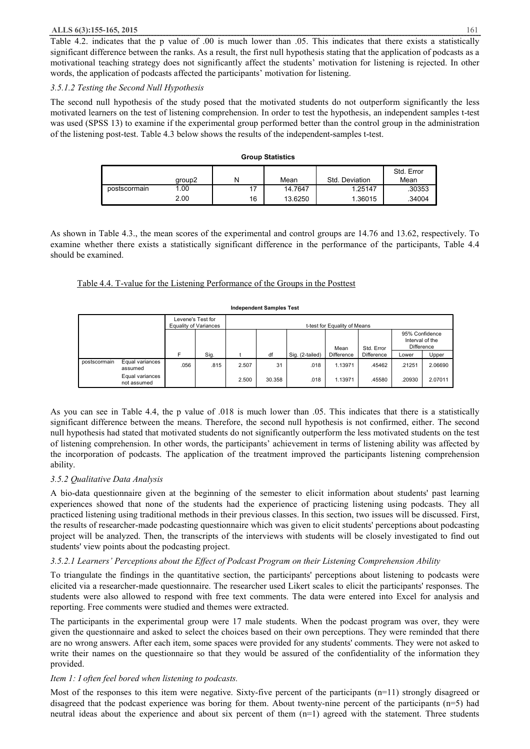Table 4.2. indicates that the p value of .00 is much lower than .05. This indicates that there exists a statistically significant difference between the ranks. As a result, the first null hypothesis stating that the application of podcasts as a motivational teaching strategy does not significantly affect the students' motivation for listening is rejected. In other words, the application of podcasts affected the participants' motivation for listening.

## *3.5.1.2 Testing the Second Null Hypothesis*

The second null hypothesis of the study posed that the motivated students do not outperform significantly the less motivated learners on the test of listening comprehension. In order to test the hypothesis, an independent samples t-test was used (SPSS 13) to examine if the experimental group performed better than the control group in the administration of the listening post-test. Table 4.3 below shows the results of the independent-samples t-test.

|              |        |    | <b>UIUUD JIALIJIIUS</b> |                |            |
|--------------|--------|----|-------------------------|----------------|------------|
|              |        |    |                         |                | Std. Error |
|              | aroup2 | N  | Mean                    | Std. Deviation | Mean       |
| postscormain | 1.00   | 17 | 14.7647                 | 1.25147        | .30353     |
|              | 2.00   | 16 | 13.6250                 | 1.36015        | .34004     |

**Group Statistics**

As shown in Table 4.3., the mean scores of the experimental and control groups are 14.76 and 13.62, respectively. To examine whether there exists a statistically significant difference in the performance of the participants, Table 4.4 should be examined.

## Table 4.4. T-value for the Listening Performance of the Groups in the Posttest

#### **Independent Samples Test**

|              |                                | Levene's Test for<br><b>Equality of Variances</b> |      | t-test for Equality of Means |        |                 |            |            |                                                 |         |
|--------------|--------------------------------|---------------------------------------------------|------|------------------------------|--------|-----------------|------------|------------|-------------------------------------------------|---------|
|              |                                |                                                   |      |                              |        |                 | Mean       | Std. Error | 95% Confidence<br>Interval of the<br>Difference |         |
|              |                                |                                                   | Sig. |                              | df     | Sig. (2-tailed) | Difference | Difference | Lower                                           | Upper   |
| postscormain | Equal variances<br>assumed     | .056                                              | .815 | 2.507                        | 31     | .018            | 1.13971    | .45462     | .21251                                          | 2.06690 |
|              | Equal variances<br>not assumed |                                                   |      | 2.500                        | 30.358 | .018            | 1.13971    | .45580     | .20930                                          | 2.07011 |

As you can see in Table 4.4, the p value of .018 is much lower than .05. This indicates that there is a statistically significant difference between the means. Therefore, the second null hypothesis is not confirmed, either. The second null hypothesis had stated that motivated students do not significantly outperform the less motivated students on the test of listening comprehension. In other words, the participants' achievement in terms of listening ability was affected by the incorporation of podcasts. The application of the treatment improved the participants listening comprehension ability.

# *3.5.2 Qualitative Data Analysis*

A bio-data questionnaire given at the beginning of the semester to elicit information about students' past learning experiences showed that none of the students had the experience of practicing listening using podcasts. They all practiced listening using traditional methods in their previous classes. In this section, two issues will be discussed. First, the results of researcher-made podcasting questionnaire which was given to elicit students' perceptions about podcasting project will be analyzed. Then, the transcripts of the interviews with students will be closely investigated to find out students' view points about the podcasting project.

# *3.5.2.1 Learners' Perceptions about the Effect of Podcast Program on their Listening Comprehension Ability*

To triangulate the findings in the quantitative section, the participants' perceptions about listening to podcasts were elicited via a researcher-made questionnaire. The researcher used Likert scales to elicit the participants' responses. The students were also allowed to respond with free text comments. The data were entered into Excel for analysis and reporting. Free comments were studied and themes were extracted.

The participants in the experimental group were 17 male students. When the podcast program was over, they were given the questionnaire and asked to select the choices based on their own perceptions. They were reminded that there are no wrong answers. After each item, some spaces were provided for any students' comments. They were not asked to write their names on the questionnaire so that they would be assured of the confidentiality of the information they provided.

## *Item 1: I often feel bored when listening to podcasts.*

Most of the responses to this item were negative. Sixty-five percent of the participants (n=11) strongly disagreed or disagreed that the podcast experience was boring for them. About twenty-nine percent of the participants (n=5) had neutral ideas about the experience and about six percent of them (n=1) agreed with the statement. Three students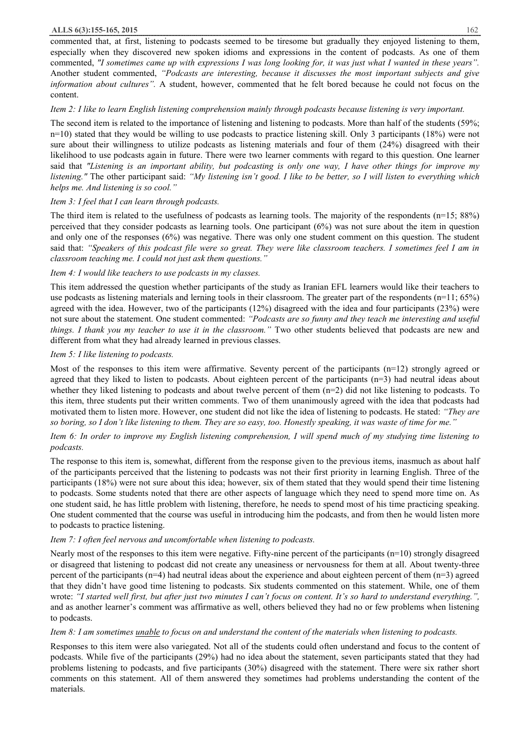commented that, at first, listening to podcasts seemed to be tiresome but gradually they enjoyed listening to them, especially when they discovered new spoken idioms and expressions in the content of podcasts. As one of them commented, "I sometimes came up with expressions I was long looking for, it was just what I wanted in these years". Another student commented, *"Podcasts are interesting, because it discusses the most important subjects and give information about cultures".* A student, however, commented that he felt bored because he could not focus on the content.

## *Item 2: I like to learn English listening comprehension mainly through podcasts because listening is very important.*

The second item is related to the importance of listening and listening to podcasts. More than half of the students (59%;  $n=10$ ) stated that they would be willing to use podcasts to practice listening skill. Only 3 participants (18%) were not sure about their willingness to utilize podcasts as listening materials and four of them (24%) disagreed with their likelihood to use podcasts again in future. There were two learner comments with regard to this question. One learner said that "Listening is an important ability, but podcasting is only one way, I have other things for improve my listening." The other participant said: "My listening isn't good. I like to be better, so I will listen to everything which *helps me. And listening is so cool."*

## *Item 3: I feel that I can learn through podcasts.*

The third item is related to the usefulness of podcasts as learning tools. The majority of the respondents  $(n=15; 88%)$ perceived that they consider podcasts as learning tools. One participant (6%) was not sure about the item in question and only one of the responses (6%) was negative. There was only one student comment on this question. The student said that: "Speakers of this podcast file were so great. They were like classroom teachers. I sometimes feel I am in *classroom teaching me. I could not just ask them questions."*

# *Item 4: I would like teachers to use podcasts in my classes.*

This item addressed the question whether participants of the study as Iranian EFL learners would like their teachers to use podcasts as listening materials and lerning tools in their classroom. The greater part of the respondents  $(n=11; 65%)$ agreed with the idea. However, two of the participants (12%) disagreed with the idea and four participants (23%) were not sure about the statement. One student commented: *"Podcasts are so funny and they teach me interesting and useful things. I thank you my teacher to use it in the classroom."* Two other students believed that podcasts are new and different from what they had already learned in previous classes.

# *Item 5: I like listening to podcasts.*

Most of the responses to this item were affirmative. Seventy percent of the participants (n=12) strongly agreed or agreed that they liked to listen to podcasts. About eighteen percent of the participants (n=3) had neutral ideas about whether they liked listening to podcasts and about twelve percent of them  $(n=2)$  did not like listening to podcasts. To this item, three students put their written comments. Two of them unanimously agreed with the idea that podcasts had motivated them to listen more. However, one student did not like the idea of listening to podcasts. He stated: *"They are*  so boring, so I don't like listening to them. They are so easy, too. Honestly speaking, it was waste of time for me."

# Item 6: In order to improve my English listening comprehension, I will spend much of my studying time listening to *podcasts.*

The response to this item is, somewhat, different from the response given to the previous items, inasmuch as about half of the participants perceived that the listening to podcasts was not their first priority in learning English. Three of the participants (18%) were not sure about this idea; however, six of them stated that they would spend their time listening to podcasts. Some students noted that there are other aspects of language which they need to spend more time on. As one student said, he has little problem with listening, therefore, he needs to spend most of his time practicing speaking. One student commented that the course was useful in introducing him the podcasts, and from then he would listen more to podcasts to practice listening.

# *Item 7: I often feel nervous and uncomfortable when listening to podcasts.*

Nearly most of the responses to this item were negative. Fifty-nine percent of the participants  $(n=10)$  strongly disagreed or disagreed that listening to podcast did not create any uneasiness or nervousness for them at all. About twenty-three percent of the participants ( $n=4$ ) had neutral ideas about the experience and about eighteen percent of them  $(n=3)$  agreed that they didn't have good time listening to podcasts. Six students commented on this statement. While, one of them wrote: "I started well first, but after just two minutes I can't focus on content. It's so hard to understand everything.", and as another learner's comment was affirmative as well, others believed they had no or few problems when listening to podcasts.

# Item 8: I am sometimes unable to focus on and understand the content of the materials when listening to podcasts.

Responses to this item were also variegated. Not all of the students could often understand and focus to the content of podcasts. While five of the participants (29%) had no idea about the statement, seven participants stated that they had problems listening to podcasts, and five participants (30%) disagreed with the statement. There were six rather short comments on this statement. All of them answered they sometimes had problems understanding the content of the materials.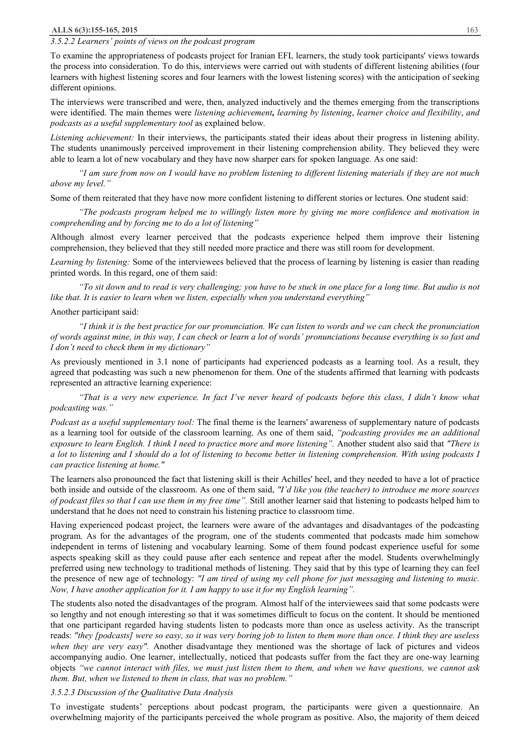## *3.5.2.2 Learners' points of views on the podcast program*

To examine the appropriateness of podcasts project for Iranian EFL learners, the study took participants' views towards the process into consideration. To do this, interviews were carried out with students of different listening abilities (four learners with highest listening scores and four learners with the lowest listening scores) with the anticipation of seeking different opinions.

The interviews were transcribed and were, then, analyzed inductively and the themes emerging from the transcriptions were identified. The main themes were *listening achievement, learning by listening*, *learner choice and flexibility*, *and podcasts as a useful supplementary tool* as explained below.

*Listening achievement:* In their interviews, the participants stated their ideas about their progress in listening ability. The students unanimously perceived improvement in their listening comprehension ability. They believed they were able to learn a lot of new vocabulary and they have now sharper ears for spoken language. As one said:

"I am sure from now on I would have no problem listening to different listening materials if they are not much *above my level."* 

Some of them reiterated that they have now more confident listening to different stories or lectures. One student said:

*"The podcasts program helped me to willingly listen more by giving me more confidence and motivation in comprehending and by forcing me to do a lot of listening"* 

Although almost every learner perceived that the podcasts experience helped them improve their listening comprehension, they believed that they still needed more practice and there was still room for development.

*Learning by listening:* Some of the interviewees believed that the process of learning by listening is easier than reading printed words. In this regard, one of them said:

"To sit down and to read is very challenging; you have to be stuck in one place for a long time. But audio is not *like that. It is easier to learn when we listen, especially when you understand everything"* 

#### Another participant said:

"I think it is the best practice for our pronunciation. We can listen to words and we can check the pronunciation of words against mine, in this way. I can check or learn a lot of words' pronunciations because everything is so fast and *I don't need to check them in my dictionary"* 

As previously mentioned in 3.1 none of participants had experienced podcasts as a learning tool. As a result, they agreed that podcasting was such a new phenomenon for them. One of the students affirmed that learning with podcasts represented an attractive learning experience:

"That is a very new experience. In fact I've never heard of podcasts before this class, I didn't know what *podcasting was."* 

*Podcast as a useful supplementary tool:* The final theme is the learners' awareness of supplementary nature of podcasts as a learning tool for outside of the classroom learning. As one of them said, *"podcasting provides me an additional*  exposure to learn English. I think I need to practice more and more listening". Another student also said that "There is a lot to listening and I should do a lot of listening to become better in listening comprehension. With using podcasts I *can practice listening at home."* 

The learners also pronounced the fact that listening skill is their Achilles' heel, and they needed to have a lot of practice both inside and outside of the classroom. As one of them said, *"I'd like you (the teacher) to introduce me more sources of podcast files so that I can use them in my free time".* Still another learner said that listening to podcasts helped him to understand that he does not need to constrain his listening practice to classroom time.

Having experienced podcast project, the learners were aware of the advantages and disadvantages of the podcasting program. As for the advantages of the program, one of the students commented that podcasts made him somehow independent in terms of listening and vocabulary learning. Some of them found podcast experience useful for some aspects speaking skill as they could pause after each sentence and repeat after the model. Students overwhelmingly preferred using new technology to traditional methods of listening. They said that by this type of learning they can feel the presence of new age of technology: *"I am tired of using my cell phone for just messaging and listening to music. Now, I have another application for it. I am happy to use it for my English learning".*

The students also noted the disadvantages of the program. Almost half of the interviewees said that some podcasts were so lengthy and not enough interesting so that it was sometimes difficult to focus on the content. It should be mentioned that one participant regarded having students listen to podcasts more than once as useless activity. As the transcript reads: "they [podcasts] were so easy, so it was very boring job to listen to them more than once. I think they are useless *when they are very easy".* Another disadvantage they mentioned was the shortage of lack of pictures and videos accompanying audio. One learner, intellectually, noticed that podcasts suffer from the fact they are one-way learning objects "we cannot interact with files, we must just listen them to them, and when we have questions, we cannot ask *them. But, when we listened to them in class, that was no problem."* 

## *3.5.2.3 Discussion of the Qualitative Data Analysis*

To investigate students' perceptions about podcast program, the participants were given a questionnaire. An overwhelming majority of the participants perceived the whole program as positive. Also, the majority of them deiced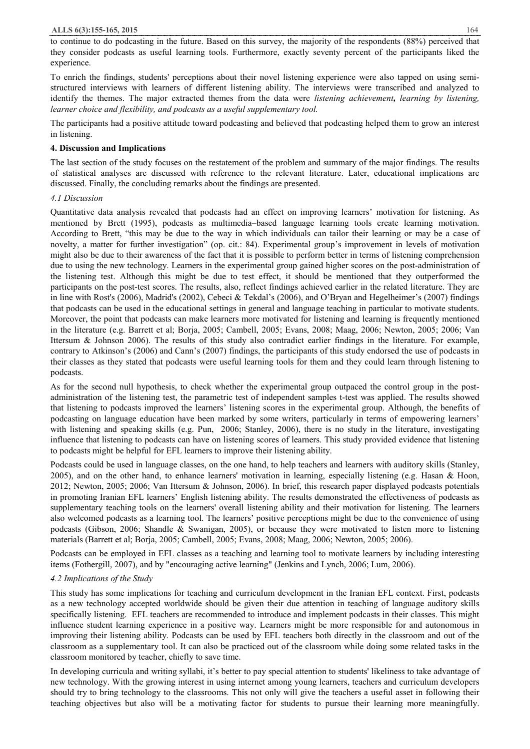to continue to do podcasting in the future. Based on this survey, the majority of the respondents (88%) perceived that they consider podcasts as useful learning tools. Furthermore, exactly seventy percent of the participants liked the experience.

To enrich the findings, students' perceptions about their novel listening experience were also tapped on using semistructured interviews with learners of different listening ability. The interviews were transcribed and analyzed to identify the themes. The major extracted themes from the data were *listening achievement, learning by listening, learner choice and flexibility, and podcasts as a useful supplementary tool.*

The participants had a positive attitude toward podcasting and believed that podcasting helped them to grow an interest in listening.

## **4. Discussion and Implications**

The last section of the study focuses on the restatement of the problem and summary of the major findings. The results of statistical analyses are discussed with reference to the relevant literature. Later, educational implications are discussed. Finally, the concluding remarks about the findings are presented.

## *4.1 Discussion*

Quantitative data analysis revealed that podcasts had an effect on improving learners' motivation for listening. As mentioned by Brett (1995), podcasts as multimedia–based language learning tools create learning motivation. According to Brett, "this may be due to the way in which individuals can tailor their learning or may be a case of novelty, a matter for further investigation" (op. cit.: 84). Experimental group's improvement in levels of motivation might also be due to their awareness of the fact that it is possible to perform better in terms of listening comprehension due to using the new technology. Learners in the experimental group gained higher scores on the post-administration of the listening test. Although this might be due to test effect, it should be mentioned that they outperformed the participants on the post-test scores. The results, also, reflect findings achieved earlier in the related literature. They are in line with Rost's (2006), Madrid's (2002), Cebeci & Tekdal's (2006), and O'Bryan and Hegelheimer's (2007) findings that podcasts can be used in the educational settings in general and language teaching in particular to motivate students. Moreover, the point that podcasts can make learners more motivated for listening and learning is frequently mentioned in the literature (e.g. Barrett et al; Borja, 2005; Cambell, 2005; Evans, 2008; Maag, 2006; Newton, 2005; 2006; Van Ittersum & Johnson 2006). The results of this study also contradict earlier findings in the literature. For example, contrary to Atkinson's (2006) and Cann's (2007) findings, the participants of this study endorsed the use of podcasts in their classes as they stated that podcasts were useful learning tools for them and they could learn through listening to podcasts.

As for the second null hypothesis, to check whether the experimental group outpaced the control group in the postadministration of the listening test, the parametric test of independent samples t-test was applied. The results showed that listening to podcasts improved the learners' listening scores in the experimental group. Although, the benefits of podcasting on language education have been marked by some writers, particularly in terms of empowering learners' with listening and speaking skills (e.g. Pun, 2006; Stanley, 2006), there is no study in the literature, investigating influence that listening to podcasts can have on listening scores of learners. This study provided evidence that listening to podcasts might be helpful for EFL learners to improve their listening ability.

Podcasts could be used in language classes, on the one hand, to help teachers and learners with auditory skills (Stanley, 2005), and on the other hand, to enhance learners' motivation in learning, especially listening (e.g. Hasan  $\&$  Hoon, 2012; Newton, 2005; 2006; Van Ittersum & Johnson, 2006). In brief, this research paper displayed podcasts potentials in promoting Iranian EFL learners' English listening ability. The results demonstrated the effectiveness of podcasts as supplementary teaching tools on the learners' overall listening ability and their motivation for listening. The learners also welcomed podcasts as a learning tool. The learners' positive perceptions might be due to the convenience of using podcasts (Gibson, 2006; Shandle & Swanigan, 2005), or because they were motivated to listen more to listening materials (Barrett et al; Borja, 2005; Cambell, 2005; Evans, 2008; Maag, 2006; Newton, 2005; 2006).

Podcasts can be employed in EFL classes as a teaching and learning tool to motivate learners by including interesting items (Fothergill, 2007), and by "encouraging active learning" (Jenkins and Lynch, 2006; Lum, 2006).

# *4.2 Implications of the Study*

This study has some implications for teaching and curriculum development in the Iranian EFL context. First, podcasts as a new technology accepted worldwide should be given their due attention in teaching of language auditory skills specifically listening. EFL teachers are recommended to introduce and implement podcasts in their classes. This might influence student learning experience in a positive way. Learners might be more responsible for and autonomous in improving their listening ability. Podcasts can be used by EFL teachers both directly in the classroom and out of the classroom as a supplementary tool. It can also be practiced out of the classroom while doing some related tasks in the classroom monitored by teacher, chiefly to save time.

In developing curricula and writing syllabi, it's better to pay special attention to students' likeliness to take advantage of new technology. With the growing interest in using internet among young learners, teachers and curriculum developers should try to bring technology to the classrooms. This not only will give the teachers a useful asset in following their teaching objectives but also will be a motivating factor for students to pursue their learning more meaningfully.